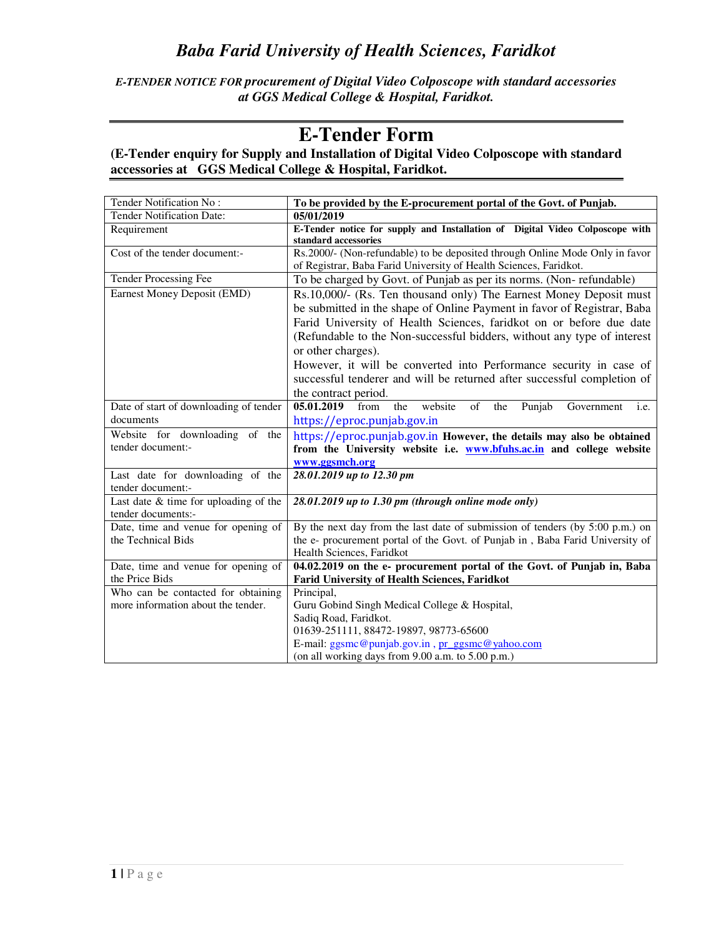*E-TENDER NOTICE FOR procurement of Digital Video Colposcope with standard accessories at GGS Medical College & Hospital, Faridkot.* 

# **E-Tender Form**

### **(E-Tender enquiry for Supply and Installation of Digital Video Colposcope with standard accessories at GGS Medical College & Hospital, Faridkot.**

| Tender Notification No:                                       | To be provided by the E-procurement portal of the Govt. of Punjab.                                                                                                                                                                                                                                                                                                                                                                                                                             |
|---------------------------------------------------------------|------------------------------------------------------------------------------------------------------------------------------------------------------------------------------------------------------------------------------------------------------------------------------------------------------------------------------------------------------------------------------------------------------------------------------------------------------------------------------------------------|
| <b>Tender Notification Date:</b>                              | 05/01/2019                                                                                                                                                                                                                                                                                                                                                                                                                                                                                     |
| Requirement                                                   | E-Tender notice for supply and Installation of Digital Video Colposcope with<br>standard accessories                                                                                                                                                                                                                                                                                                                                                                                           |
| Cost of the tender document:-                                 | Rs.2000/- (Non-refundable) to be deposited through Online Mode Only in favor<br>of Registrar, Baba Farid University of Health Sciences, Faridkot.                                                                                                                                                                                                                                                                                                                                              |
| <b>Tender Processing Fee</b>                                  | To be charged by Govt. of Punjab as per its norms. (Non-refundable)                                                                                                                                                                                                                                                                                                                                                                                                                            |
| Earnest Money Deposit (EMD)                                   | Rs.10,000/- (Rs. Ten thousand only) The Earnest Money Deposit must<br>be submitted in the shape of Online Payment in favor of Registrar, Baba<br>Farid University of Health Sciences, faridkot on or before due date<br>(Refundable to the Non-successful bidders, without any type of interest<br>or other charges).<br>However, it will be converted into Performance security in case of<br>successful tenderer and will be returned after successful completion of<br>the contract period. |
| Date of start of downloading of tender                        | 05.01.2019<br>website<br>from<br>the<br>$\sigma$ f<br>Government<br>the<br>Punjab<br>i.e.                                                                                                                                                                                                                                                                                                                                                                                                      |
| documents                                                     | https://eproc.punjab.gov.in                                                                                                                                                                                                                                                                                                                                                                                                                                                                    |
| Website for downloading<br>of the<br>tender document:-        | https://eproc.punjab.gov.in However, the details may also be obtained<br>from the University website i.e. <b>www.bfuhs.ac.in</b> and college website<br>www.ggsmch.org                                                                                                                                                                                                                                                                                                                         |
| Last date for downloading of the<br>tender document:-         | 28.01.2019 up to 12.30 pm                                                                                                                                                                                                                                                                                                                                                                                                                                                                      |
| Last date $&$ time for uploading of the<br>tender documents:- | 28.01.2019 up to 1.30 pm (through online mode only)                                                                                                                                                                                                                                                                                                                                                                                                                                            |
| Date, time and venue for opening of<br>the Technical Bids     | By the next day from the last date of submission of tenders (by 5:00 p.m.) on<br>the e- procurement portal of the Govt. of Punjab in, Baba Farid University of<br>Health Sciences, Faridkot                                                                                                                                                                                                                                                                                                    |
| Date, time and venue for opening of                           | 04.02.2019 on the e- procurement portal of the Govt. of Punjab in, Baba                                                                                                                                                                                                                                                                                                                                                                                                                        |
| the Price Bids                                                | <b>Farid University of Health Sciences, Faridkot</b>                                                                                                                                                                                                                                                                                                                                                                                                                                           |
| Who can be contacted for obtaining                            | Principal,                                                                                                                                                                                                                                                                                                                                                                                                                                                                                     |
| more information about the tender.                            | Guru Gobind Singh Medical College & Hospital,                                                                                                                                                                                                                                                                                                                                                                                                                                                  |
|                                                               | Sadiq Road, Faridkot.<br>01639-251111, 88472-19897, 98773-65600                                                                                                                                                                                                                                                                                                                                                                                                                                |
|                                                               | E-mail: ggsmc@punjab.gov.in, pr_ggsmc@yahoo.com                                                                                                                                                                                                                                                                                                                                                                                                                                                |
|                                                               | (on all working days from 9.00 a.m. to 5.00 p.m.)                                                                                                                                                                                                                                                                                                                                                                                                                                              |
|                                                               |                                                                                                                                                                                                                                                                                                                                                                                                                                                                                                |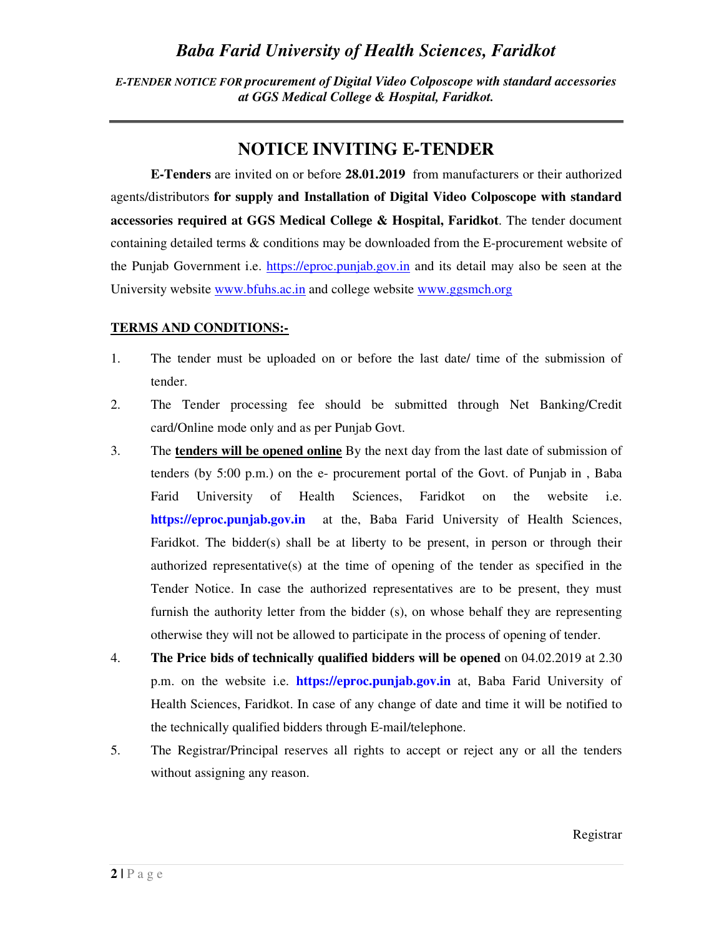*E-TENDER NOTICE FOR procurement of Digital Video Colposcope with standard accessories at GGS Medical College & Hospital, Faridkot.* 

# **NOTICE INVITING E-TENDER**

**E-Tenders** are invited on or before **28.01.2019** from manufacturers or their authorized agents/distributors **for supply and Installation of Digital Video Colposcope with standard accessories required at GGS Medical College & Hospital, Faridkot**. The tender document containing detailed terms & conditions may be downloaded from the E-procurement website of the Punjab Government i.e. https://eproc.punjab.gov.in and its detail may also be seen at the University website www.bfuhs.ac.in and college website www.ggsmch.org

### **TERMS AND CONDITIONS:-**

- 1. The tender must be uploaded on or before the last date/ time of the submission of tender.
- 2. The Tender processing fee should be submitted through Net Banking/Credit card/Online mode only and as per Punjab Govt.
- 3. The **tenders will be opened online** By the next day from the last date of submission of tenders (by 5:00 p.m.) on the e- procurement portal of the Govt. of Punjab in , Baba Farid University of Health Sciences, Faridkot on the website i.e. **https://eproc.punjab.gov.in** at the, Baba Farid University of Health Sciences, Faridkot. The bidder(s) shall be at liberty to be present, in person or through their authorized representative(s) at the time of opening of the tender as specified in the Tender Notice. In case the authorized representatives are to be present, they must furnish the authority letter from the bidder (s), on whose behalf they are representing otherwise they will not be allowed to participate in the process of opening of tender.
- 4. **The Price bids of technically qualified bidders will be opened** on 04.02.2019 at 2.30 p.m. on the website i.e. **https://eproc.punjab.gov.in** at, Baba Farid University of Health Sciences, Faridkot. In case of any change of date and time it will be notified to the technically qualified bidders through E-mail/telephone.
- 5. The Registrar/Principal reserves all rights to accept or reject any or all the tenders without assigning any reason.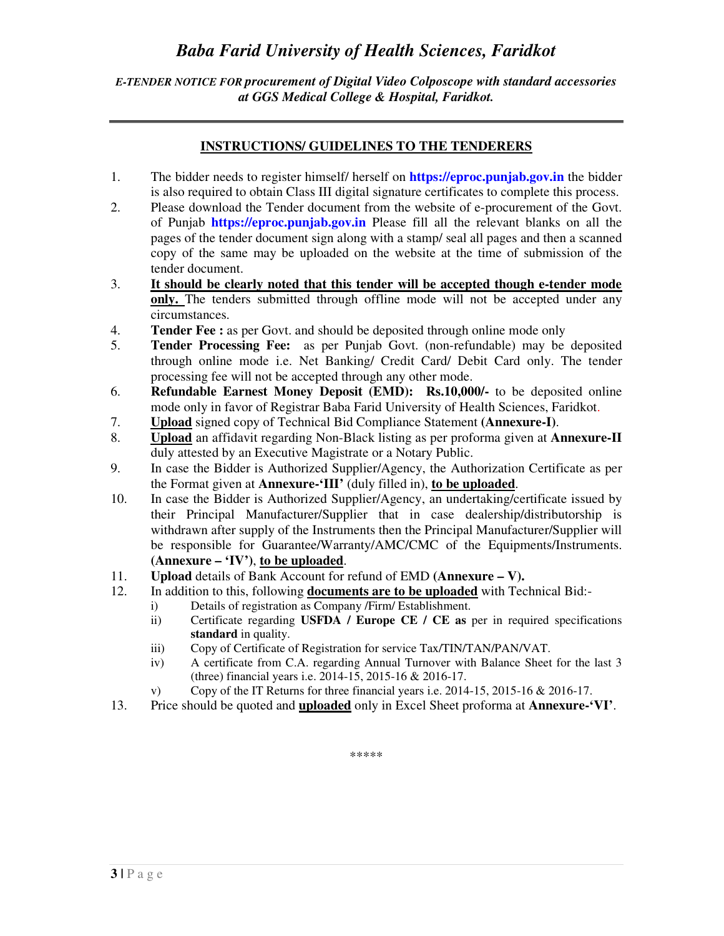*E-TENDER NOTICE FOR procurement of Digital Video Colposcope with standard accessories at GGS Medical College & Hospital, Faridkot.* 

#### **INSTRUCTIONS/ GUIDELINES TO THE TENDERERS**

- 1. The bidder needs to register himself/ herself on **https://eproc.punjab.gov.in** the bidder is also required to obtain Class III digital signature certificates to complete this process.
- 2. Please download the Tender document from the website of e-procurement of the Govt. of Punjab **https://eproc.punjab.gov.in** Please fill all the relevant blanks on all the pages of the tender document sign along with a stamp/ seal all pages and then a scanned copy of the same may be uploaded on the website at the time of submission of the tender document.
- 3. **It should be clearly noted that this tender will be accepted though e-tender mode only.** The tenders submitted through offline mode will not be accepted under any circumstances.
- 4. **Tender Fee :** as per Govt. and should be deposited through online mode only
- 5. **Tender Processing Fee:** as per Punjab Govt. (non-refundable) may be deposited through online mode i.e. Net Banking/ Credit Card/ Debit Card only. The tender processing fee will not be accepted through any other mode.
- 6. **Refundable Earnest Money Deposit (EMD): Rs.10,000/-** to be deposited online mode only in favor of Registrar Baba Farid University of Health Sciences, Faridkot.
- 7. **Upload** signed copy of Technical Bid Compliance Statement **(Annexure-I)**.
- 8. **Upload** an affidavit regarding Non-Black listing as per proforma given at **Annexure-II**  duly attested by an Executive Magistrate or a Notary Public.
- 9. In case the Bidder is Authorized Supplier/Agency, the Authorization Certificate as per the Format given at **Annexure-'III'** (duly filled in), **to be uploaded**.
- 10. In case the Bidder is Authorized Supplier/Agency, an undertaking/certificate issued by their Principal Manufacturer/Supplier that in case dealership/distributorship is withdrawn after supply of the Instruments then the Principal Manufacturer/Supplier will be responsible for Guarantee/Warranty/AMC/CMC of the Equipments/Instruments. **(Annexure – 'IV')**, **to be uploaded**.
- 11. **Upload** details of Bank Account for refund of EMD **(Annexure V).**
- 12. In addition to this, following **documents are to be uploaded** with Technical Bid:
	- i) Details of registration as Company /Firm/ Establishment.
	- ii) Certificate regarding **USFDA / Europe CE / CE as** per in required specifications **standard** in quality.
	- iii) Copy of Certificate of Registration for service Tax/TIN/TAN/PAN/VAT.
	- iv) A certificate from C.A. regarding Annual Turnover with Balance Sheet for the last 3 (three) financial years i.e. 2014-15, 2015-16 & 2016-17.
	- v) Copy of the IT Returns for three financial years i.e. 2014-15, 2015-16 & 2016-17.
- 13. Price should be quoted and **uploaded** only in Excel Sheet proforma at **Annexure-'VI'**.

\*\*\*\*\*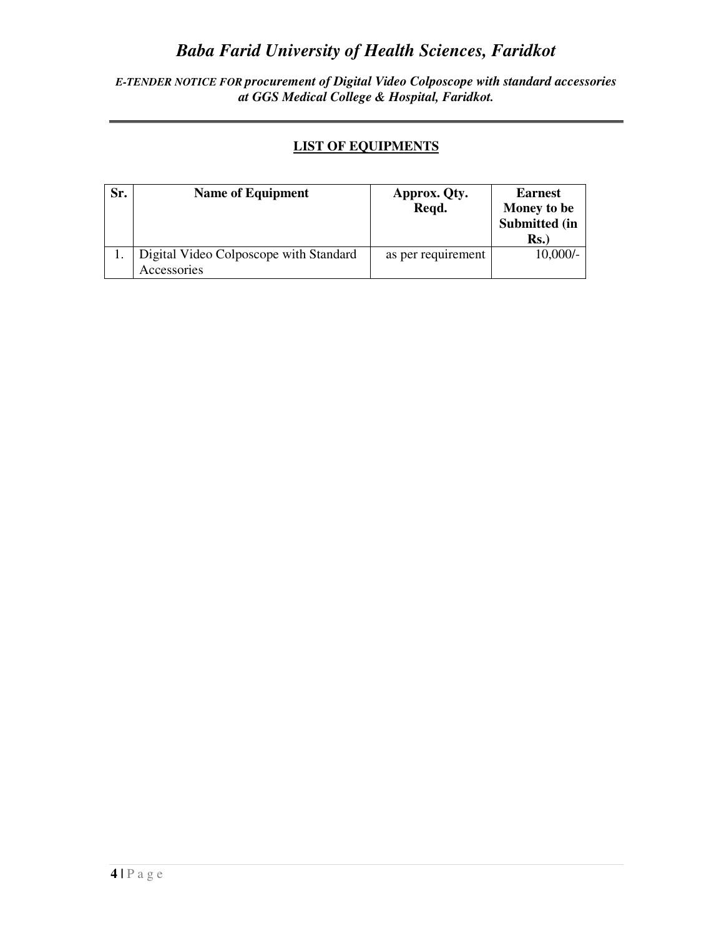*E-TENDER NOTICE FOR procurement of Digital Video Colposcope with standard accessories at GGS Medical College & Hospital, Faridkot.* 

### **LIST OF EQUIPMENTS**

| Sr. | <b>Name of Equipment</b>                              | Approx. Qty.<br>Regd. | <b>Earnest</b><br>Money to be   |  |
|-----|-------------------------------------------------------|-----------------------|---------------------------------|--|
|     |                                                       |                       | Submitted (in<br>$\mathbf{Rs.}$ |  |
|     | Digital Video Colposcope with Standard<br>Accessories | as per requirement    | $10,000/-$                      |  |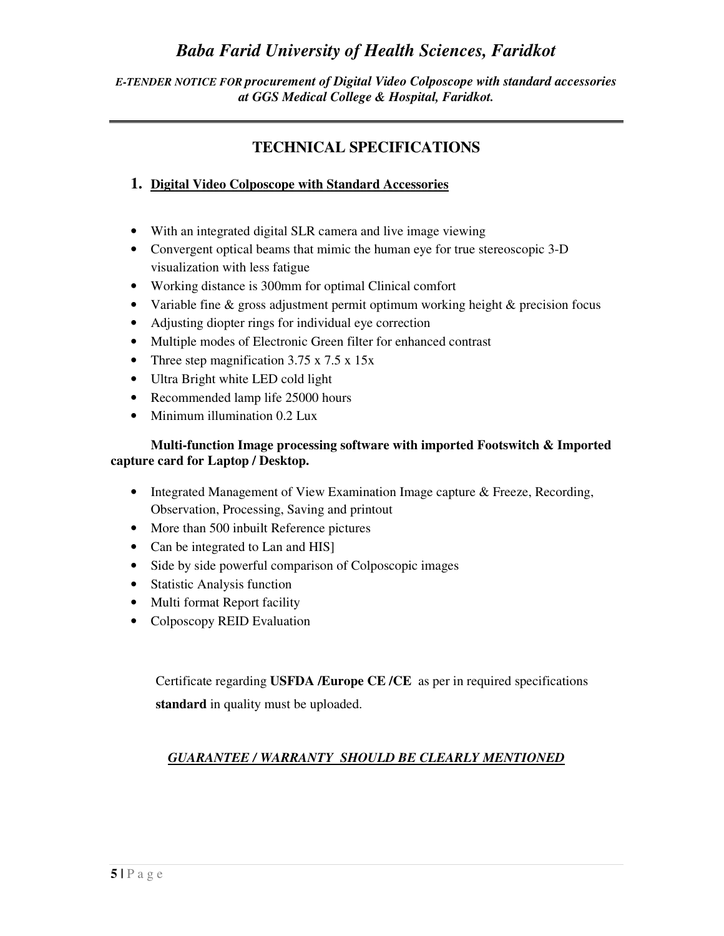#### *E-TENDER NOTICE FOR procurement of Digital Video Colposcope with standard accessories at GGS Medical College & Hospital, Faridkot.*

### **TECHNICAL SPECIFICATIONS**

### **1. Digital Video Colposcope with Standard Accessories**

- With an integrated digital SLR camera and live image viewing
- Convergent optical beams that mimic the human eye for true stereoscopic 3-D visualization with less fatigue
- Working distance is 300mm for optimal Clinical comfort
- Variable fine & gross adjustment permit optimum working height & precision focus
- Adjusting diopter rings for individual eye correction
- Multiple modes of Electronic Green filter for enhanced contrast
- Three step magnification 3.75 x 7.5 x 15x
- Ultra Bright white LED cold light
- Recommended lamp life 25000 hours
- Minimum illumination 0.2 Lux

#### **Multi-function Image processing software with imported Footswitch & Imported capture card for Laptop / Desktop.**

- Integrated Management of View Examination Image capture & Freeze, Recording, Observation, Processing, Saving and printout
- More than 500 inbuilt Reference pictures
- Can be integrated to Lan and HIS]
- Side by side powerful comparison of Colposcopic images
- Statistic Analysis function
- Multi format Report facility
- Colposcopy REID Evaluation

Certificate regarding **USFDA /Europe CE /CE** as per in required specifications **standard** in quality must be uploaded.

#### *GUARANTEE / WARRANTY SHOULD BE CLEARLY MENTIONED*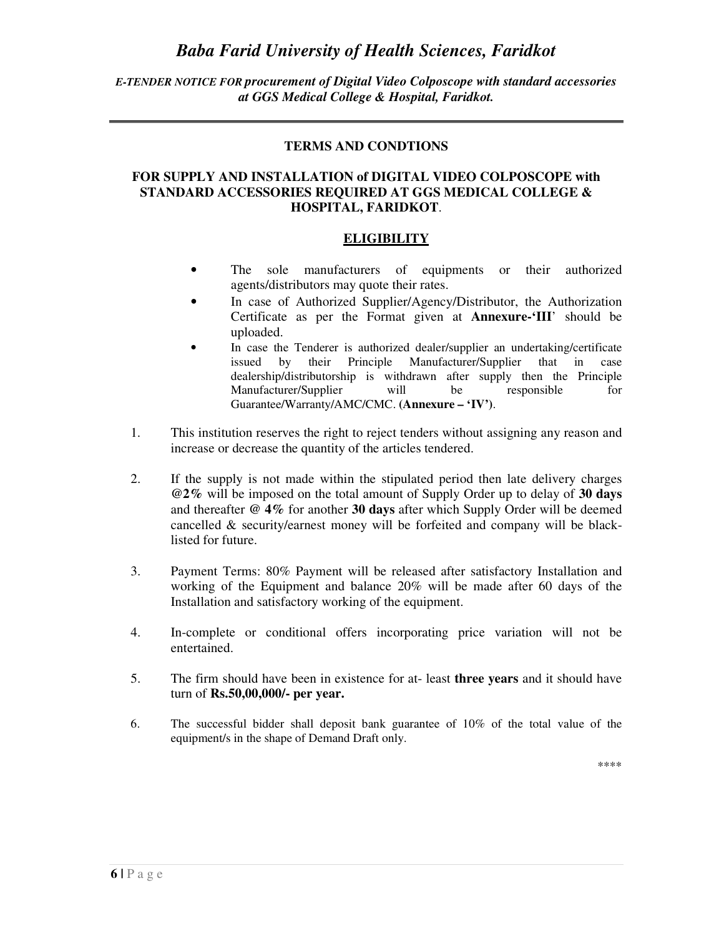#### *E-TENDER NOTICE FOR procurement of Digital Video Colposcope with standard accessories at GGS Medical College & Hospital, Faridkot.*

#### **TERMS AND CONDTIONS**

#### **FOR SUPPLY AND INSTALLATION of DIGITAL VIDEO COLPOSCOPE with STANDARD ACCESSORIES REQUIRED AT GGS MEDICAL COLLEGE & HOSPITAL, FARIDKOT**.

#### **ELIGIBILITY**

- The sole manufacturers of equipments or their authorized agents/distributors may quote their rates.
- In case of Authorized Supplier/Agency/Distributor, the Authorization Certificate as per the Format given at **Annexure-'III**' should be uploaded.
- In case the Tenderer is authorized dealer/supplier an undertaking/certificate issued by their Principle Manufacturer/Supplier that in case dealership/distributorship is withdrawn after supply then the Principle Manufacturer/Supplier will be responsible for Guarantee/Warranty/AMC/CMC. **(Annexure – 'IV')**.
- 1. This institution reserves the right to reject tenders without assigning any reason and increase or decrease the quantity of the articles tendered.
- 2. If the supply is not made within the stipulated period then late delivery charges **@2%** will be imposed on the total amount of Supply Order up to delay of **30 days** and thereafter **@ 4%** for another **30 days** after which Supply Order will be deemed cancelled & security/earnest money will be forfeited and company will be blacklisted for future.
- 3. Payment Terms: 80% Payment will be released after satisfactory Installation and working of the Equipment and balance 20% will be made after 60 days of the Installation and satisfactory working of the equipment.
- 4. In-complete or conditional offers incorporating price variation will not be entertained.
- 5. The firm should have been in existence for at- least **three years** and it should have turn of **Rs.50,00,000/- per year.**
- 6. The successful bidder shall deposit bank guarantee of 10% of the total value of the equipment/s in the shape of Demand Draft only.

\*\*\*\*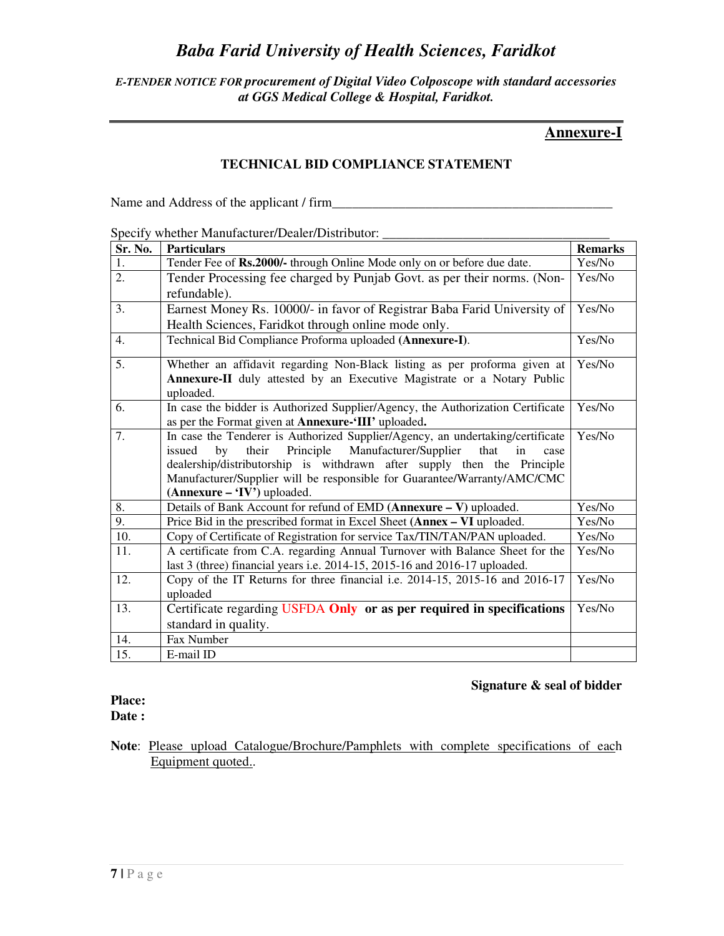#### *E-TENDER NOTICE FOR procurement of Digital Video Colposcope with standard accessories at GGS Medical College & Hospital, Faridkot.*

### **Annexure-I**

#### **TECHNICAL BID COMPLIANCE STATEMENT**

Name and Address of the applicant / firm\_\_\_\_\_\_\_\_\_\_\_\_\_\_\_\_\_\_\_\_\_\_\_\_\_\_\_\_\_\_\_\_\_\_\_\_\_\_\_\_\_\_

#### Specify whether Manufacturer/Dealer/Distributor: \_\_\_\_\_\_\_\_\_\_\_\_\_\_\_\_\_\_\_\_\_\_\_\_\_\_\_\_\_\_\_

| Sr. No.          | <b>Particulars</b>                                                                                        | <b>Remarks</b> |
|------------------|-----------------------------------------------------------------------------------------------------------|----------------|
| 1.               | Tender Fee of Rs.2000/- through Online Mode only on or before due date.                                   | Yes/No         |
| 2.               | Tender Processing fee charged by Punjab Govt. as per their norms. (Non-                                   | Yes/No         |
|                  | refundable).                                                                                              |                |
| 3.               | Earnest Money Rs. 10000/- in favor of Registrar Baba Farid University of                                  | Yes/No         |
|                  | Health Sciences, Faridkot through online mode only.                                                       |                |
| $\overline{4}$ . | Technical Bid Compliance Proforma uploaded (Annexure-I).                                                  | Yes/No         |
| 5.               | Whether an affidavit regarding Non-Black listing as per proforma given at                                 | Yes/No         |
|                  | Annexure-II duly attested by an Executive Magistrate or a Notary Public                                   |                |
|                  | uploaded.                                                                                                 |                |
| 6.               | In case the bidder is Authorized Supplier/Agency, the Authorization Certificate                           | Yes/No         |
|                  | as per the Format given at <b>Annexure-'III'</b> uploaded.                                                |                |
| 7.               | In case the Tenderer is Authorized Supplier/Agency, an undertaking/certificate                            | Yes/No         |
|                  | Principle<br>their<br>Manufacturer/Supplier<br>that<br>by<br>in<br>issued<br>case                         |                |
|                  | dealership/distributorship is withdrawn after supply then the Principle                                   |                |
|                  | Manufacturer/Supplier will be responsible for Guarantee/Warranty/AMC/CMC<br>$(Annexure - 'IV')$ uploaded. |                |
| 8.               | Details of Bank Account for refund of EMD (Annexure - V) uploaded.                                        | Yes/No         |
| $\overline{9}$ . | Price Bid in the prescribed format in Excel Sheet (Annex - VI uploaded.                                   | Yes/No         |
| 10.              | Copy of Certificate of Registration for service Tax/TIN/TAN/PAN uploaded.                                 | Yes/No         |
| 11.              | A certificate from C.A. regarding Annual Turnover with Balance Sheet for the                              | Yes/No         |
|                  | last 3 (three) financial years i.e. 2014-15, 2015-16 and 2016-17 uploaded.                                |                |
| 12.              | Copy of the IT Returns for three financial i.e. 2014-15, 2015-16 and 2016-17                              | Yes/No         |
|                  | uploaded                                                                                                  |                |
| 13.              | Certificate regarding USFDA Only or as per required in specifications                                     | Yes/No         |
|                  | standard in quality.                                                                                      |                |
| 14.              | Fax Number                                                                                                |                |
| 15.              | E-mail ID                                                                                                 |                |

#### **Signature & seal of bidder**

# **Place:**

**Date :** 

**Note**: Please upload Catalogue/Brochure/Pamphlets with complete specifications of each Equipment quoted..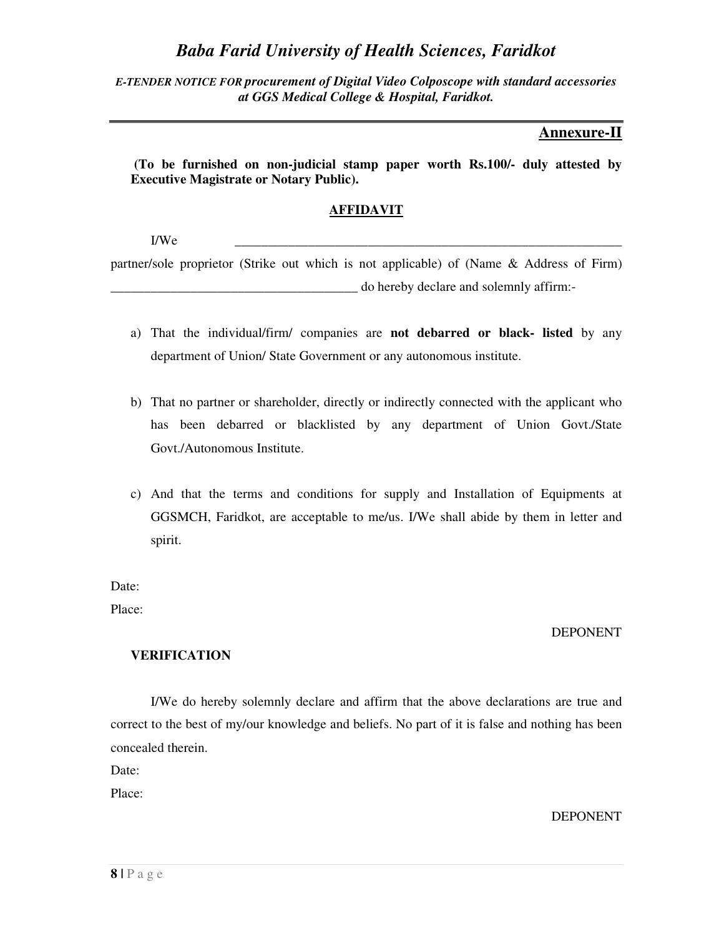*E-TENDER NOTICE FOR procurement of Digital Video Colposcope with standard accessories at GGS Medical College & Hospital, Faridkot.* 

### **Annexure-II**

 **(To be furnished on non-judicial stamp paper worth Rs.100/- duly attested by Executive Magistrate or Notary Public).** 

#### **AFFIDAVIT**

I/We \_\_\_\_\_\_\_\_\_\_\_\_\_\_\_\_\_\_\_\_\_\_\_\_\_\_\_\_\_\_\_\_\_\_\_\_\_\_\_\_\_\_\_\_\_\_\_\_\_\_\_\_\_\_\_\_\_\_

partner/sole proprietor (Strike out which is not applicable) of (Name & Address of Firm) \_\_\_\_\_\_\_\_\_\_\_\_\_\_\_\_\_\_\_\_\_\_\_\_\_\_\_\_\_\_\_\_\_\_\_\_\_ do hereby declare and solemnly affirm:-

- a) That the individual/firm/ companies are **not debarred or black- listed** by any department of Union/ State Government or any autonomous institute.
- b) That no partner or shareholder, directly or indirectly connected with the applicant who has been debarred or blacklisted by any department of Union Govt./State Govt./Autonomous Institute.
- c) And that the terms and conditions for supply and Installation of Equipments at GGSMCH, Faridkot, are acceptable to me/us. I/We shall abide by them in letter and spirit.

Date:

Place:

#### DEPONENT

#### **VERIFICATION**

I/We do hereby solemnly declare and affirm that the above declarations are true and correct to the best of my/our knowledge and beliefs. No part of it is false and nothing has been concealed therein.

Date:

Place:

DEPONENT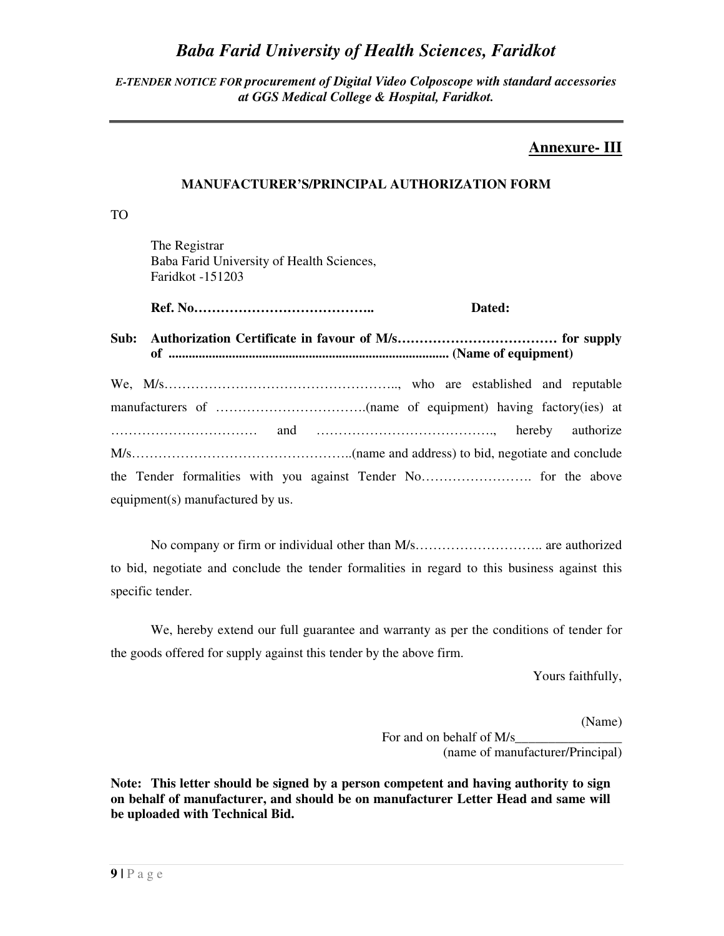#### *E-TENDER NOTICE FOR procurement of Digital Video Colposcope with standard accessories at GGS Medical College & Hospital, Faridkot.*

### **Annexure- III**

#### **MANUFACTURER'S/PRINCIPAL AUTHORIZATION FORM**

TO

 The Registrar Baba Farid University of Health Sciences, Faridkot -151203

 **Ref. No………………………………….. Dated:** 

**Sub: Authorization Certificate in favour of M/s……………………………… for supply of .................................................................................... (Name of equipment)** 

| equipment(s) manufactured by us. |  |  |  |
|----------------------------------|--|--|--|

No company or firm or individual other than M/s……………………….. are authorized to bid, negotiate and conclude the tender formalities in regard to this business against this specific tender.

 We, hereby extend our full guarantee and warranty as per the conditions of tender for the goods offered for supply against this tender by the above firm.

Yours faithfully,

(Name)

For and on behalf of M/s (name of manufacturer/Principal)

**Note: This letter should be signed by a person competent and having authority to sign on behalf of manufacturer, and should be on manufacturer Letter Head and same will be uploaded with Technical Bid.**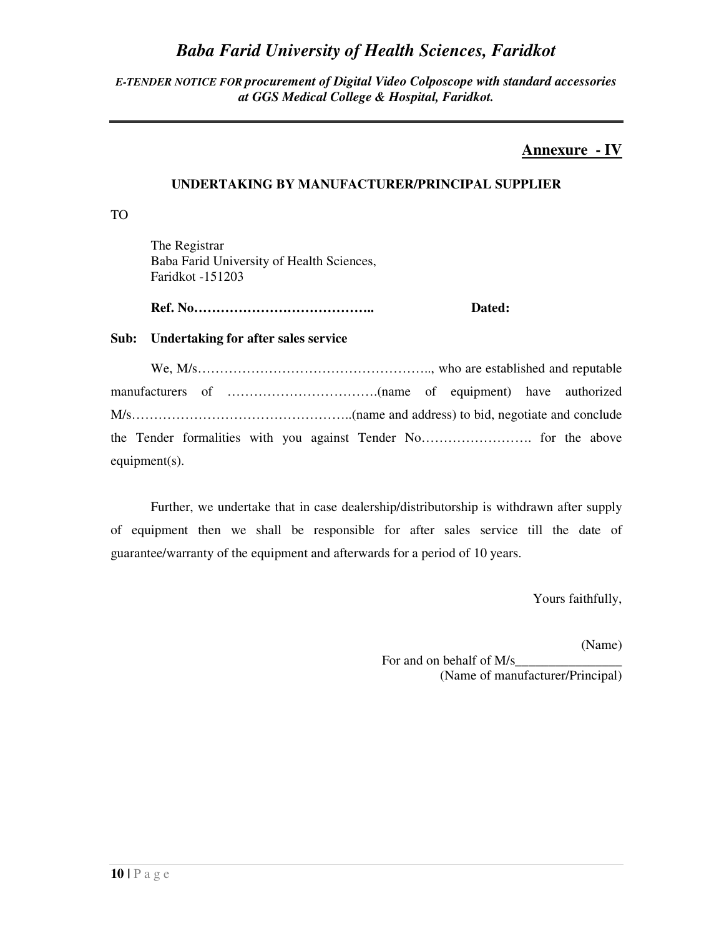#### *E-TENDER NOTICE FOR procurement of Digital Video Colposcope with standard accessories at GGS Medical College & Hospital, Faridkot.*

### **Annexure - IV**

### **UNDERTAKING BY MANUFACTURER/PRINCIPAL SUPPLIER**

TO

 The Registrar Baba Farid University of Health Sciences, Faridkot -151203

 **Ref. No………………………………….. Dated:** 

#### **Sub: Undertaking for after sales service**

We, M/s…………………………………………….., who are established and reputable manufacturers of …………………………….(name of equipment) have authorized M/s…………………………………………..(name and address) to bid, negotiate and conclude the Tender formalities with you against Tender No……………………. for the above equipment(s).

Further, we undertake that in case dealership/distributorship is withdrawn after supply of equipment then we shall be responsible for after sales service till the date of guarantee/warranty of the equipment and afterwards for a period of 10 years.

Yours faithfully,

(Name)

For and on behalf of M/s (Name of manufacturer/Principal)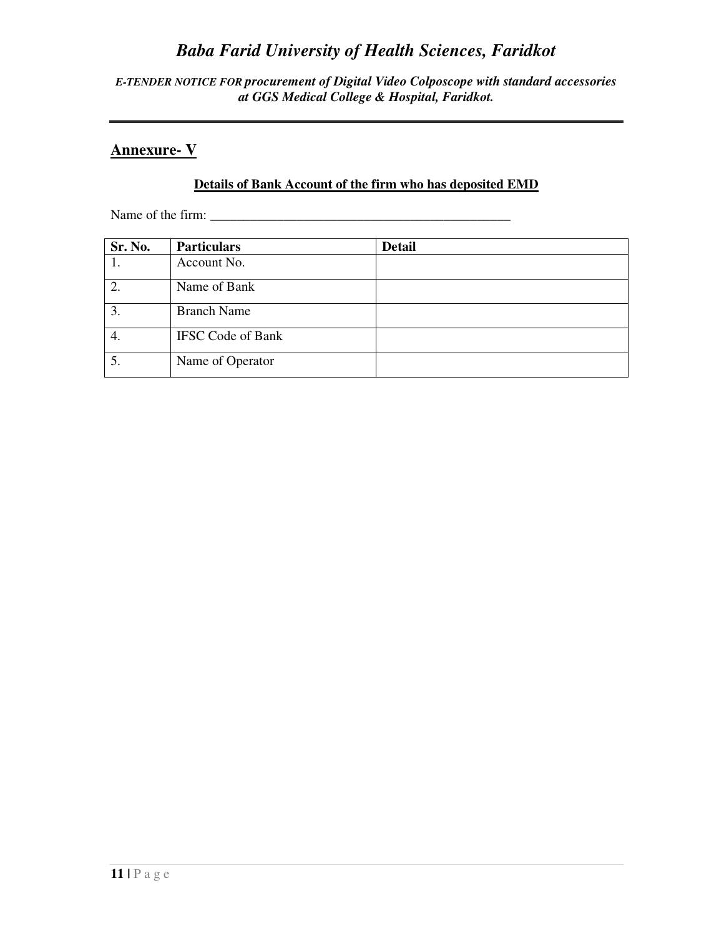*E-TENDER NOTICE FOR procurement of Digital Video Colposcope with standard accessories at GGS Medical College & Hospital, Faridkot.* 

### **Annexure- V**

### **Details of Bank Account of the firm who has deposited EMD**

Name of the firm: \_\_\_\_\_\_\_\_\_\_\_\_\_\_\_\_\_\_\_\_\_\_\_\_\_\_\_\_\_\_\_\_\_\_\_\_\_\_\_\_\_\_\_\_\_

| Sr. No. | <b>Particulars</b>       | <b>Detail</b> |
|---------|--------------------------|---------------|
|         | Account No.              |               |
|         | Name of Bank             |               |
| 3.      | <b>Branch Name</b>       |               |
| 4.      | <b>IFSC Code of Bank</b> |               |
| 5.      | Name of Operator         |               |